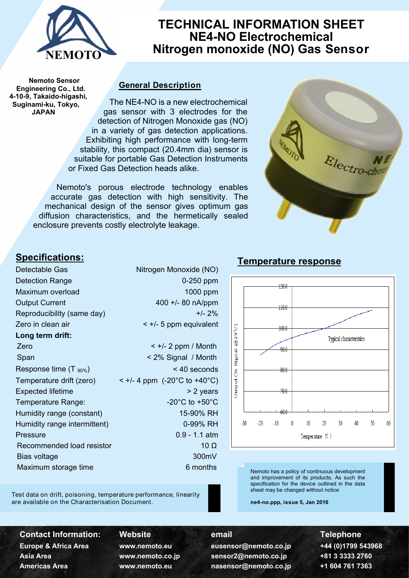

# **TECHNICAL INFORMATION SHEET NE4-NO Electrochemical Nitrogen monoxide (NO) Gas Sensor**

**Nemoto Sensor Engineering Co., Ltd. 4-10-9, Takaido-higashi, Suginami-ku, Tokyo, JAPAN**

## **General Description**

The NE4-NO is a new electrochemical gas sensor with 3 electrodes for the detection of Nitrogen Monoxide gas (NO) in a variety of gas detection applications. Exhibiting high performance with long-term stability, this compact (20.4mm dia) sensor is suitable for portable Gas Detection Instruments or Fixed Gas Detection heads alike.

Nemoto's porous electrode technology enables accurate gas detection with high sensitivity. The mechanical design of the sensor gives optimum gas diffusion characteristics, and the hermetically sealed enclosure prevents costly electrolyte leakage.



# **Specifications:**

| Detectable Gas               | Nitrogen Monoxide (NO)               |  |
|------------------------------|--------------------------------------|--|
| <b>Detection Range</b>       | 0-250 ppm                            |  |
| Maximum overload             | 1000 ppm                             |  |
| <b>Output Current</b>        | 400 +/- 80 nA/ppm                    |  |
| Reproducibility (same day)   | $+/- 2\%$                            |  |
| Zero in clean air            | $\leq$ +/- 5 ppm equivalent          |  |
| Long term drift:             |                                      |  |
| Zero                         | $\leq +/2$ ppm / Month               |  |
| Span                         | < 2% Signal / Month                  |  |
| Response time $(T_{.90\%})$  | < 40 seconds                         |  |
| Temperature drift (zero)     | < +/- 4 ppm (-20°C to +40°C)         |  |
| <b>Expected lifetime</b>     | > 2 years                            |  |
| Temperature Range:           | -20 $^{\circ}$ C to +50 $^{\circ}$ C |  |
| Humidity range (constant)    | 15-90% RH                            |  |
| Humidity range intermittent) | 0-99% RH                             |  |
| <b>Pressure</b>              | $0.9 - 1.1$ atm                      |  |
| Recommended load resistor    | 10 $\Omega$                          |  |
| Bias voltage                 | 300mV                                |  |
| Maximum storage time         | 6 months                             |  |
|                              |                                      |  |

Test data on drift, poisoning, temperature performance, linearity are available on the Characterisation Document.

 $+20.0$  $+10.0$ (C,02<sup>0</sup>  $1000$ Typical characteristics  $90.0$ Signal  $80.0$ Output (% 70 O 60 L  $-30$  $-20$  $-10$  $\mathbf{0}$ 10 20 30 40 50 60 Temperature  $(C)$ 

Nemoto has a policy of continuous development and improvement of its products. As such the specification for the device outlined in the data sheet may be changed without notice

**ne4-no.ppp, issue 5, Jan 2016**

**Contact Information: Website <b>Contact Information:** Website *email* **Example 2016** 

**Europe & Africa Area www.nemoto.eu eusensor@nemoto.co.jp +44 (0)1799 543968 Asia Area www.nemoto.co.jp sensor2@nemoto.co.jp +81 3 3333 2760 Americas Area www.nemoto.eu nasensor@nemoto.co.jp +1 604 761 7363**

- 
- 
- 

# **Temperature response**